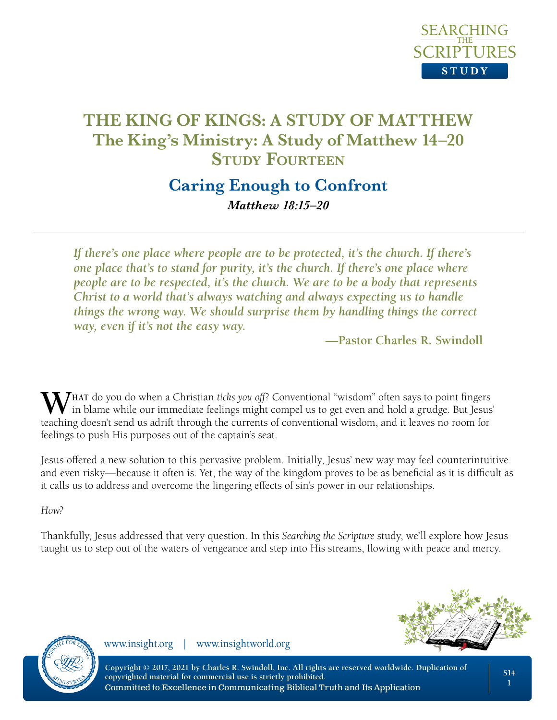

## **Caring Enough to Confront** *Matthew 18:15–20*

*If there's one place where people are to be protected, it's the church. If there's one place that's to stand for purity, it's the church. If there's one place where people are to be respected, it's the church. We are to be a body that represents Christ to a world that's always watching and always expecting us to handle things the wrong way. We should surprise them by handling things the correct way, even if it's not the easy way.*

**—Pastor Charles R. Swindoll**

**W** THAT do you do when a Christian *ticks you off*? Conventional "wisdom" often says to point fingers in blame while our immediate feelings might compel us to get even and hold a grudge. But Jesus' teaching doesn't send us adrift through the currents of conventional wisdom, and it leaves no room for feelings to push His purposes out of the captain's seat.

Jesus offered a new solution to this pervasive problem. Initially, Jesus' new way may feel counterintuitive and even risky—because it often is. Yet, the way of the kingdom proves to be as beneficial as it is difficult as it calls us to address and overcome the lingering effects of sin's power in our relationships.

*How?*

Thankfully, Jesus addressed that very question. In this *Searching the Scripture* study, we'll explore how Jesus taught us to step out of the waters of vengeance and step into His streams, flowing with peace and mercy.





www.insight.org | www.insightworld.org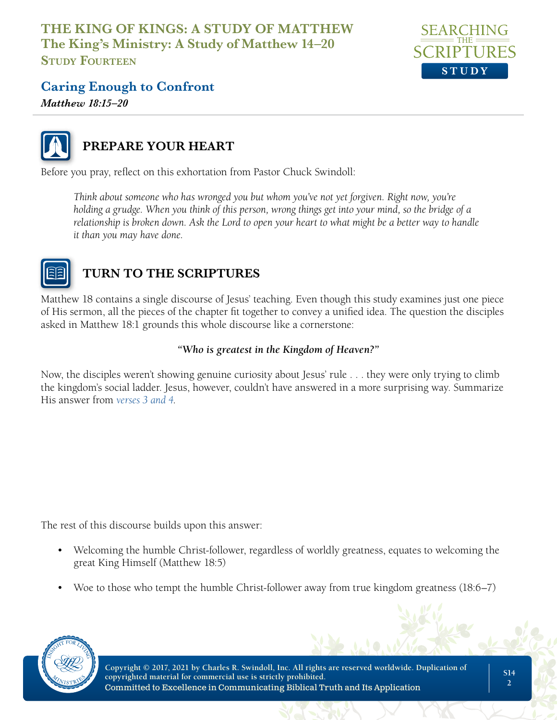

## **Caring Enough to Confront**

*Matthew 18:15–20*



## **PREPARE YOUR HEART**

Before you pray, reflect on this exhortation from Pastor Chuck Swindoll:

*Think about someone who has wronged you but whom you've not yet forgiven. Right now, you're holding a grudge. When you think of this person, wrong things get into your mind, so the bridge of a relationship is broken down. Ask the Lord to open your heart to what might be a better way to handle it than you may have done.*



## **TURN TO THE SCRIPTURES**

Matthew 18 contains a single discourse of Jesus' teaching. Even though this study examines just one piece of His sermon, all the pieces of the chapter fit together to convey a unified idea. The question the disciples asked in Matthew 18:1 grounds this whole discourse like a cornerstone:

#### *"Who is greatest in the Kingdom of Heaven?"*

Now, the disciples weren't showing genuine curiosity about Jesus' rule . . . they were only trying to climb the kingdom's social ladder. Jesus, however, couldn't have answered in a more surprising way. Summarize His answer from *[verses 3 and 4](https://www.biblegateway.com/passage/?search=Matthew%2018%3A3%E2%80%934&version=NLT;NASB)*.

The rest of this discourse builds upon this answer:

- Welcoming the humble Christ-follower, regardless of worldly greatness, equates to welcoming the great King Himself (Matthew 18:5)
- Woe to those who tempt the humble Christ-follower away from true kingdom greatness (18:6–7)

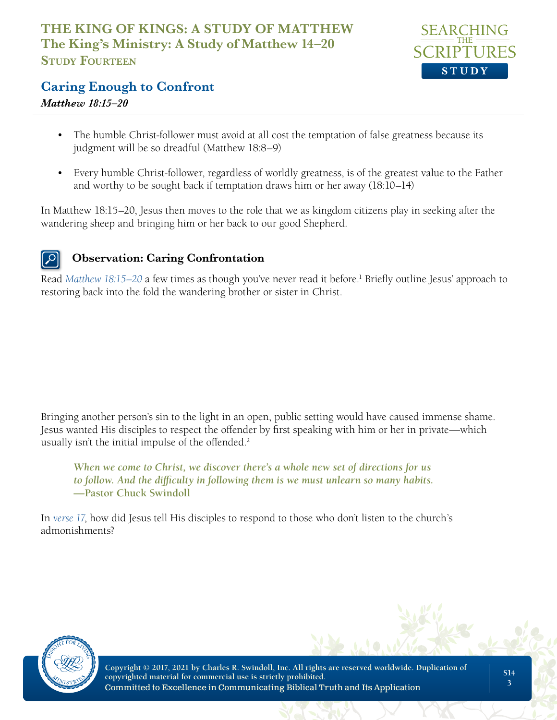

#### **Caring Enough to Confront**

#### *Matthew 18:15–20*

- The humble Christ-follower must avoid at all cost the temptation of false greatness because its judgment will be so dreadful (Matthew 18:8–9)
- Every humble Christ-follower, regardless of worldly greatness, is of the greatest value to the Father and worthy to be sought back if temptation draws him or her away (18:10–14)

In Matthew 18:15–20, Jesus then moves to the role that we as kingdom citizens play in seeking after the wandering sheep and bringing him or her back to our good Shepherd.

#### **Observation: Caring Confrontation**

Read [Matthew 18:15–20](https://www.biblegateway.com/passage/?search=Matthew+18%3A15%E2%80%9320&version=NLT;NASB) a few times as though you've never read it before.<sup>1</sup> Briefly outline Jesus' approach to restoring back into the fold the wandering brother or sister in Christ.

Bringing another person's sin to the light in an open, public setting would have caused immense shame. Jesus wanted His disciples to respect the offender by first speaking with him or her in private—which usually isn't the initial impulse of the offended.<sup>2</sup>

*When we come to Christ, we discover there's a whole new set of directions for us to follow. And the difficulty in following them is we must unlearn so many habits.*  **—Pastor Chuck Swindoll**

In *[verse 17](https://www.biblegateway.com/passage/?search=matthew%2018%3A17&version=NLT;NASB)*, how did Jesus tell His disciples to respond to those who don't listen to the church's admonishments?

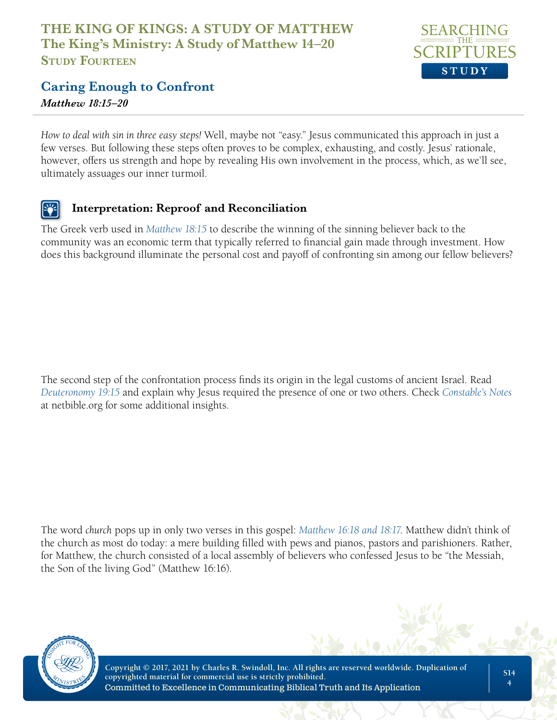

## **Caring Enough to Confront**

*Matthew 18:15–20*

*How to deal with sin in three easy steps!* Well, maybe not "easy." Jesus communicated this approach in just a few verses. But following these steps often proves to be complex, exhausting, and costly. Jesus' rationale, however, offers us strength and hope by revealing His own involvement in the process, which, as we'll see, ultimately assuages our inner turmoil.

#### **Interpretation: Reproof and Reconciliation**

The Greek verb used in *[Matthew 18:15](https://www.biblegateway.com/passage/?search=Matthew+18%3A15+&version=NLT;NASB)* to describe the winning of the sinning believer back to the community was an economic term that typically referred to financial gain made through investment. How does this background illuminate the personal cost and payoff of confronting sin among our fellow believers?

The second step of the confrontation process finds its origin in the legal customs of ancient Israel. Read *[Deuteronomy 19:15](https://www.biblegateway.com/passage/?search=Deuteronomy+19%3A15&version=NLT;NASB)* and explain why Jesus required the presence of one or two others. Check *[Constable's Notes](http://www.netbible.org/bible/Matthew+18)* at netbible.org for some additional insights.

The word *church* pops up in only two verses in this gospel: *[Matthew 16:18 and 18:17](https://www.biblegateway.com/passage/?search=Matthew+16%3A18%3B+18%3A17&version=NLT;NASB)*. Matthew didn't think of the church as most do today: a mere building filled with pews and pianos, pastors and parishioners. Rather, for Matthew, the church consisted of a local assembly of believers who confessed Jesus to be "the Messiah, the Son of the living God" (Matthew 16:16).

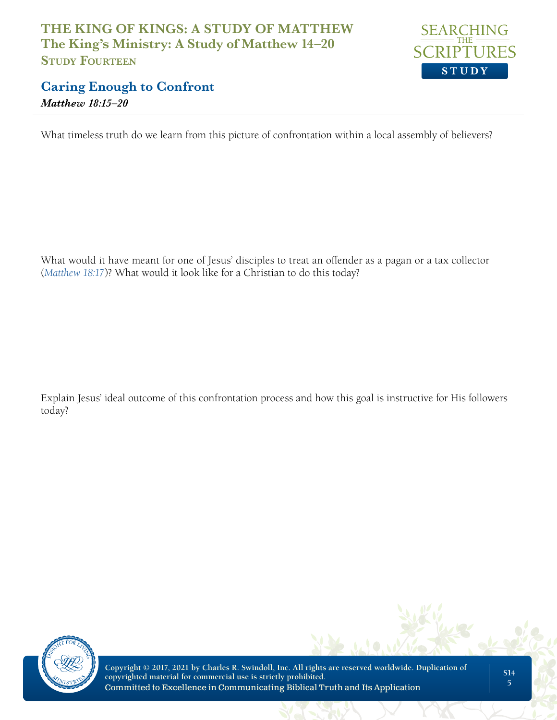

#### **Caring Enough to Confront** *Matthew 18:15–20*

What timeless truth do we learn from this picture of confrontation within a local assembly of believers?

What would it have meant for one of Jesus' disciples to treat an offender as a pagan or a tax collector (*[Matthew 18:17](https://www.biblegateway.com/passage/?search=Matthew+18%3A17&version=NLT;NASB)*)? What would it look like for a Christian to do this today?

Explain Jesus' ideal outcome of this confrontation process and how this goal is instructive for His followers today?

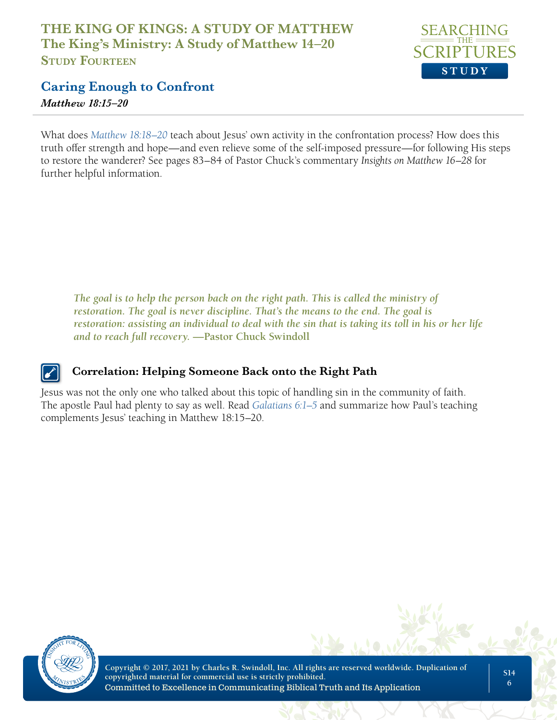

# **Caring Enough to Confront**

*Matthew 18:15–20*

What does *[Matthew 18:18–20](https://www.biblegateway.com/passage/?search=Matthew+18%3A18%E2%80%9320&version=NLT;NASB)* teach about Jesus' own activity in the confrontation process? How does this truth offer strength and hope—and even relieve some of the self-imposed pressure—for following His steps to restore the wanderer? See pages 83–84 of Pastor Chuck's commentary *Insights on Matthew 16–28* for further helpful information.

*The goal is to help the person back on the right path. This is called the ministry of restoration. The goal is never discipline. That's the means to the end. The goal is restoration: assisting an individual to deal with the sin that is taking its toll in his or her life and to reach full recovery.* **—Pastor Chuck Swindoll**

#### **Correlation: Helping Someone Back onto the Right Path**

Jesus was not the only one who talked about this topic of handling sin in the community of faith. The apostle Paul had plenty to say as well. Read *[Galatians 6:1–5](https://www.biblegateway.com/passage/?search=Galatians+6%3A1%E2%80%935&version=NLT;NASB)* and summarize how Paul's teaching complements Jesus' teaching in Matthew 18:15–20.

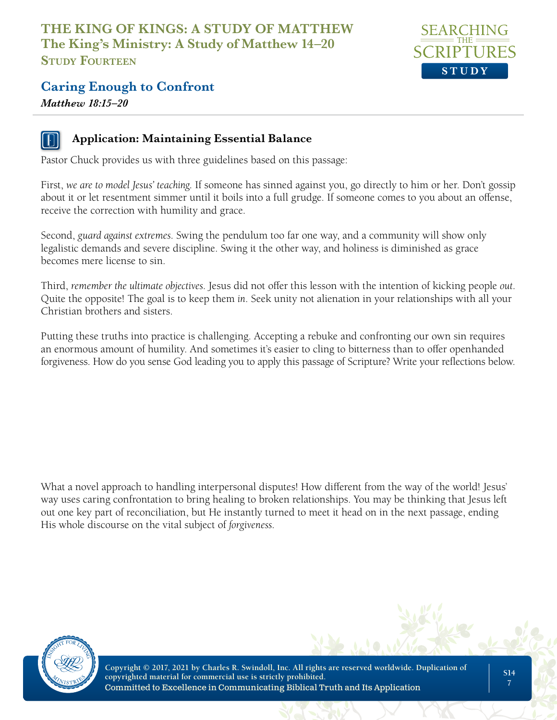

#### **Caring Enough to Confront**

*Matthew 18:15–20*



#### **Application: Maintaining Essential Balance**

Pastor Chuck provides us with three guidelines based on this passage:

First, *we are to model Jesus' teaching*. If someone has sinned against you, go directly to him or her. Don't gossip about it or let resentment simmer until it boils into a full grudge. If someone comes to you about an offense, receive the correction with humility and grace.

Second, *guard against extremes*. Swing the pendulum too far one way, and a community will show only legalistic demands and severe discipline. Swing it the other way, and holiness is diminished as grace becomes mere license to sin.

Third, *remember the ultimate objectives*. Jesus did not offer this lesson with the intention of kicking people *out*. Quite the opposite! The goal is to keep them *in*. Seek unity not alienation in your relationships with all your Christian brothers and sisters.

Putting these truths into practice is challenging. Accepting a rebuke and confronting our own sin requires an enormous amount of humility. And sometimes it's easier to cling to bitterness than to offer openhanded forgiveness. How do you sense God leading you to apply this passage of Scripture? Write your reflections below.

What a novel approach to handling interpersonal disputes! How different from the way of the world! Jesus' way uses caring confrontation to bring healing to broken relationships. You may be thinking that Jesus left out one key part of reconciliation, but He instantly turned to meet it head on in the next passage, ending His whole discourse on the vital subject of *forgiveness*.